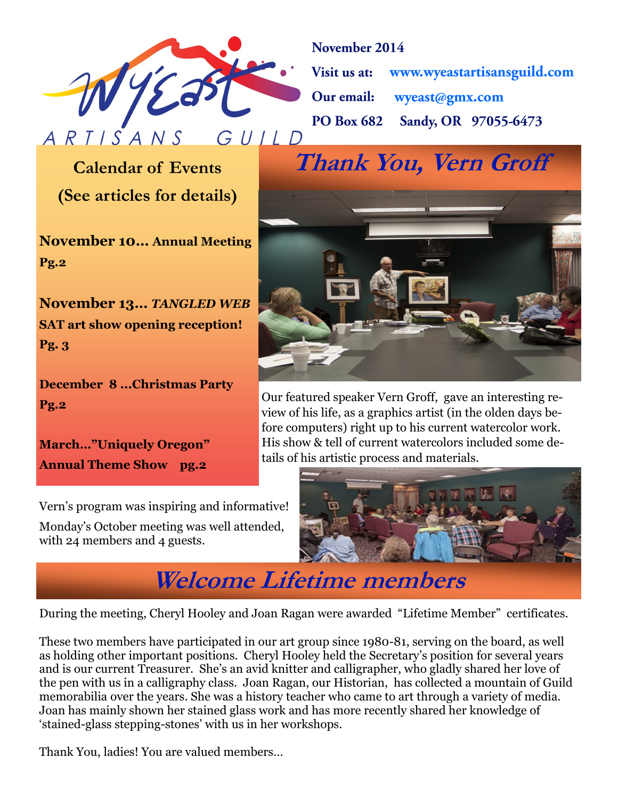

November 2014 Visit us at: www.wyeastartisansguild.com wyeast@gmx.com Our email: Sandy, OR 97055-6473 **PO Box 682** 

# **(See articles for details)**

**November 10… Annual Meeting Pg.2**

**November 13…** *TANGLED WEB* **SAT art show opening reception! Pg. 3**

**December 8 ...Christmas Party Pg.2**

**March…"Uniquely Oregon" Annual Theme Show pg.2**

Vern's program was inspiring and informative! Monday's October meeting was well attended, with 24 members and 4 guests.



Our featured speaker Vern Groff, gave an interesting review of his life, as a graphics artist (in the olden days before computers) right up to his current watercolor work. His show & tell of current watercolors included some details of his artistic process and materials.



## **Welcome Lifetime members**

During the meeting, Cheryl Hooley and Joan Ragan were awarded "Lifetime Member" certificates.

These two members have participated in our art group since 1980-81, serving on the board, as well as holding other important positions. Cheryl Hooley held the Secretary's position for several years and is our current Treasurer. She's an avid knitter and calligrapher, who gladly shared her love of the pen with us in a calligraphy class. Joan Ragan, our Historian, has collected a mountain of Guild memorabilia over the years. She was a history teacher who came to art through a variety of media. Joan has mainly shown her stained glass work and has more recently shared her knowledge of 'stained-glass stepping-stones' with us in her workshops.

Thank You, ladies! You are valued members…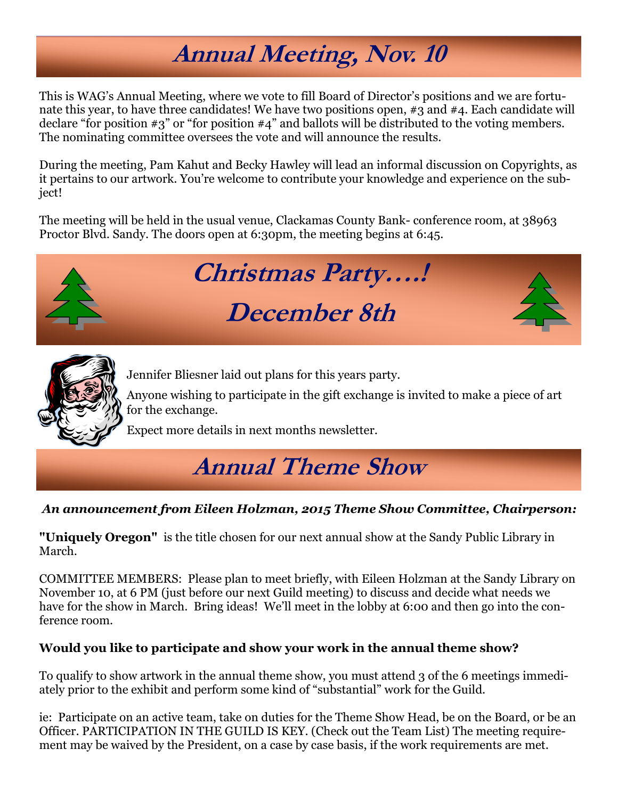## **Annual Meeting, Nov. 10**

This is WAG's Annual Meeting, where we vote to fill Board of Director's positions and we are fortunate this year, to have three candidates! We have two positions open, #3 and #4. Each candidate will declare "for position #3" or "for position #4" and ballots will be distributed to the voting members. The nominating committee oversees the vote and will announce the results.

During the meeting, Pam Kahut and Becky Hawley will lead an informal discussion on Copyrights, as it pertains to our artwork. You're welcome to contribute your knowledge and experience on the subject!

The meeting will be held in the usual venue, Clackamas County Bank- conference room, at 38963 Proctor Blvd. Sandy. The doors open at 6:30pm, the meeting begins at 6:45.



# **Christmas Party….!**

## **December 8th**



Jennifer Bliesner laid out plans for this years party.

Anyone wishing to participate in the gift exchange is invited to make a piece of art for the exchange.

Expect more details in next months newsletter.

## **Annual Theme Show**

#### *An announcement from Eileen Holzman, 2015 Theme Show Committee, Chairperson:*

**"Uniquely Oregon"** is the title chosen for our next annual show at the Sandy Public Library in March.

COMMITTEE MEMBERS: Please plan to meet briefly, with Eileen Holzman at the Sandy Library on November 10, at 6 PM (just before our next Guild meeting) to discuss and decide what needs we have for the show in March. Bring ideas! We'll meet in the lobby at 6:00 and then go into the conference room.

#### **Would you like to participate and show your work in the annual theme show?**

To qualify to show artwork in the annual theme show, you must attend 3 of the 6 meetings immediately prior to the exhibit and perform some kind of "substantial" work for the Guild.

ie: Participate on an active team, take on duties for the Theme Show Head, be on the Board, or be an Officer. PARTICIPATION IN THE GUILD IS KEY. (Check out the Team List) The meeting requirement may be waived by the President, on a case by case basis, if the work requirements are met.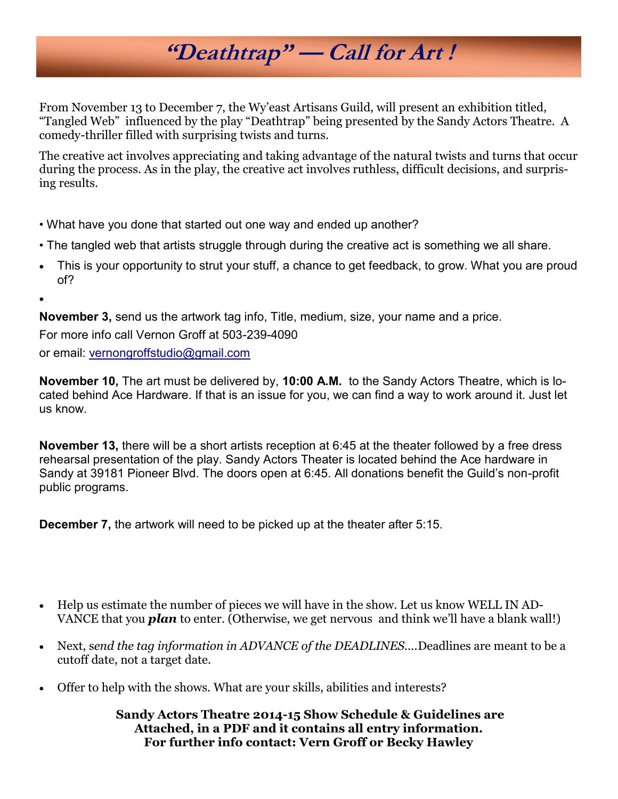## **"Deathtrap" — Call for Art !**

From November 13 to December 7, the Wy'east Artisans Guild, will present an exhibition titled, "Tangled Web" influenced by the play "Deathtrap" being presented by the Sandy Actors Theatre. A comedy-thriller filled with surprising twists and turns.

The creative act involves appreciating and taking advantage of the natural twists and turns that occur during the process. As in the play, the creative act involves ruthless, difficult decisions, and surprising results.

- What have you done that started out one way and ended up another?
- The tangled web that artists struggle through during the creative act is something we all share.
- This is your opportunity to strut your stuff, a chance to get feedback, to grow. What you are proud of?

 $\bullet$ 

**November 3,** send us the artwork tag info, Title, medium, size, your name and a price. For more info call Vernon Groff at 503-239-4090 or email: [vernongroffstudio@gmail.com](mailto:vernongroffstudio@gmail.com)

**November 10,** The art must be delivered by, **10:00 A.M.** to the Sandy Actors Theatre, which is located behind Ace Hardware. If that is an issue for you, we can find a way to work around it. Just let us know.

**November 13,** there will be a short artists reception at 6:45 at the theater followed by a free dress rehearsal presentation of the play. Sandy Actors Theater is located behind the Ace hardware in Sandy at 39181 Pioneer Blvd. The doors open at 6:45. All donations benefit the Guild's non-profit public programs.

**December 7,** the artwork will need to be picked up at the theater after 5:15.

- Help us estimate the number of pieces we will have in the show. Let us know WELL IN AD-VANCE that you *plan* to enter. (Otherwise, we get nervous and think we'll have a blank wall!)
- Next, s*end the tag information in ADVANCE of the DEADLINES....*Deadlines are meant to be a cutoff date, not a target date.
- Offer to help with the shows. What are your skills, abilities and interests?

**Sandy Actors Theatre 2014-15 Show Schedule & Guidelines are Attached, in a PDF and it contains all entry information. For further info contact: Vern Groff or Becky Hawley**